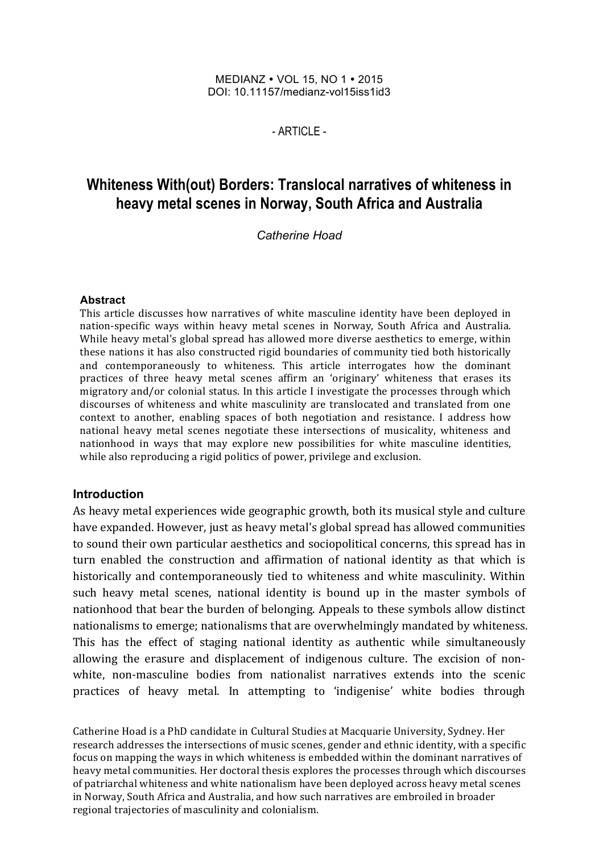#### MEDIANZ • VOL 15, NO 1 • 2015 DOI: 10.11157/medianz-vol15iss1id3

 $-$  ARTICLE $-$ 

# **Whiteness With(out) Borders: Translocal narratives of whiteness in heavy metal scenes in Norway, South Africa and Australia**

*Catherine Hoad*

#### **Abstract**

This article discusses how narratives of white masculine identity have been deployed in nation-specific ways within heavy metal scenes in Norway, South Africa and Australia. While heavy metal's global spread has allowed more diverse aesthetics to emerge, within these nations it has also constructed rigid boundaries of community tied both historically and contemporaneously to whiteness. This article interrogates how the dominant practices of three heavy metal scenes affirm an 'originary' whiteness that erases its migratory and/or colonial status. In this article I investigate the processes through which discourses of whiteness and white masculinity are translocated and translated from one context to another, enabling spaces of both negotiation and resistance. I address how national heavy metal scenes negotiate these intersections of musicality, whiteness and nationhood in ways that may explore new possibilities for white masculine identities, while also reproducing a rigid politics of power, privilege and exclusion.

#### **Introduction**

As heavy metal experiences wide geographic growth, both its musical style and culture have expanded. However, just as heavy metal's global spread has allowed communities to sound their own particular aesthetics and sociopolitical concerns, this spread has in turn enabled the construction and affirmation of national identity as that which is historically and contemporaneously tied to whiteness and white masculinity. Within such heavy metal scenes, national identity is bound up in the master symbols of nationhood that bear the burden of belonging. Appeals to these symbols allow distinct nationalisms to emerge; nationalisms that are overwhelmingly mandated by whiteness. This has the effect of staging national identity as authentic while simultaneously allowing the erasure and displacement of indigenous culture. The excision of nonwhite, non-masculine bodies from nationalist narratives extends into the scenic practices of heavy metal. In attempting to 'indigenise' white bodies through

Catherine Hoad is a PhD candidate in Cultural Studies at Macquarie University, Sydney. Her research addresses the intersections of music scenes, gender and ethnic identity, with a specific focus on mapping the ways in which whiteness is embedded within the dominant narratives of heavy metal communities. Her doctoral thesis explores the processes through which discourses of patriarchal whiteness and white nationalism have been deployed across heavy metal scenes in Norway, South Africa and Australia, and how such narratives are embroiled in broader regional trajectories of masculinity and colonialism.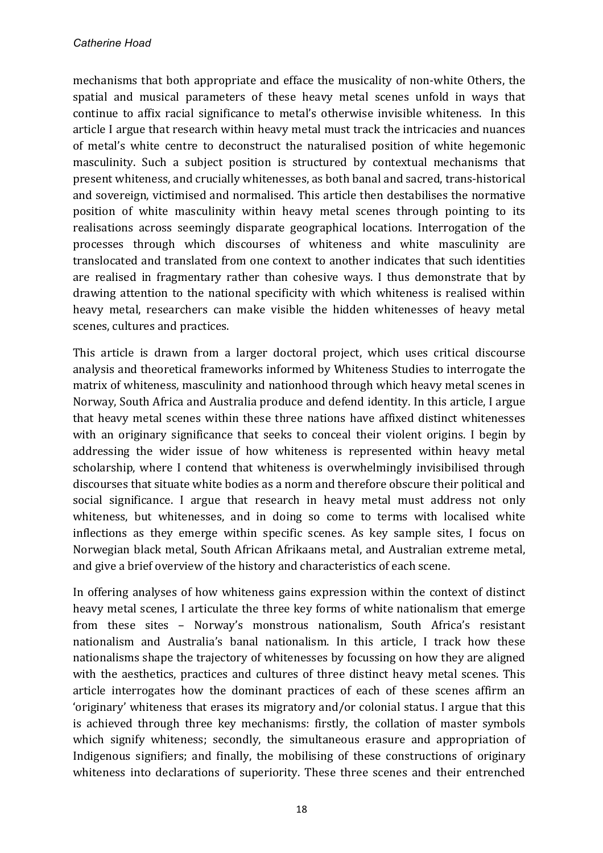mechanisms that both appropriate and efface the musicality of non-white Others, the spatial and musical parameters of these heavy metal scenes unfold in ways that continue to affix racial significance to metal's otherwise invisible whiteness. In this article I argue that research within heavy metal must track the intricacies and nuances of metal's white centre to deconstruct the naturalised position of white hegemonic masculinity. Such a subject position is structured by contextual mechanisms that present whiteness, and crucially whitenesses, as both banal and sacred, trans-historical and sovereign, victimised and normalised. This article then destabilises the normative position of white masculinity within heavy metal scenes through pointing to its realisations across seemingly disparate geographical locations. Interrogation of the processes through which discourses of whiteness and white masculinity are translocated and translated from one context to another indicates that such identities are realised in fragmentary rather than cohesive ways. I thus demonstrate that by drawing attention to the national specificity with which whiteness is realised within heavy metal, researchers can make visible the hidden whitenesses of heavy metal scenes, cultures and practices.

This article is drawn from a larger doctoral project, which uses critical discourse analysis and theoretical frameworks informed by Whiteness Studies to interrogate the matrix of whiteness, masculinity and nationhood through which heavy metal scenes in Norway, South Africa and Australia produce and defend identity. In this article, I argue that heavy metal scenes within these three nations have affixed distinct whitenesses with an originary significance that seeks to conceal their violent origins. I begin by addressing the wider issue of how whiteness is represented within heavy metal scholarship, where I contend that whiteness is overwhelmingly invisibilised through discourses that situate white bodies as a norm and therefore obscure their political and social significance. I argue that research in heavy metal must address not only whiteness, but whitenesses, and in doing so come to terms with localised white inflections as they emerge within specific scenes. As key sample sites, I focus on Norwegian black metal, South African Afrikaans metal, and Australian extreme metal, and give a brief overview of the history and characteristics of each scene.

In offering analyses of how whiteness gains expression within the context of distinct heavy metal scenes, I articulate the three key forms of white nationalism that emerge from these sites - Norway's monstrous nationalism, South Africa's resistant nationalism and Australia's banal nationalism. In this article, I track how these nationalisms shape the trajectory of whitenesses by focussing on how they are aligned with the aesthetics, practices and cultures of three distinct heavy metal scenes. This article interrogates how the dominant practices of each of these scenes affirm an 'originary' whiteness that erases its migratory and/or colonial status. I argue that this is achieved through three key mechanisms: firstly, the collation of master symbols which signify whiteness; secondly, the simultaneous erasure and appropriation of Indigenous signifiers; and finally, the mobilising of these constructions of originary whiteness into declarations of superiority. These three scenes and their entrenched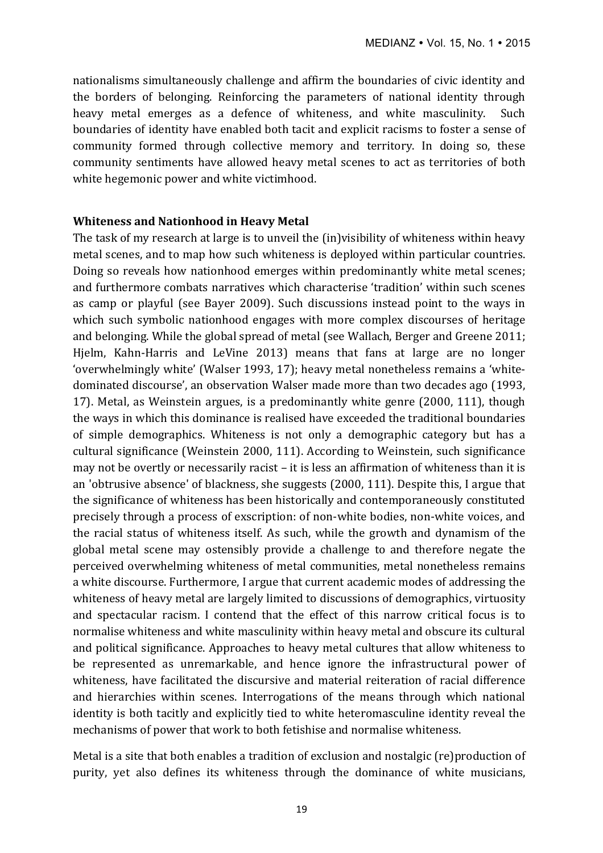nationalisms simultaneously challenge and affirm the boundaries of civic identity and the borders of belonging. Reinforcing the parameters of national identity through heavy metal emerges as a defence of whiteness, and white masculinity. Such boundaries of identity have enabled both tacit and explicit racisms to foster a sense of community formed through collective memory and territory. In doing so, these community sentiments have allowed heavy metal scenes to act as territories of both white hegemonic power and white victimhood.

#### **Whiteness and Nationhood in Heavy Metal**

The task of my research at large is to unveil the (in)visibility of whiteness within heavy metal scenes, and to map how such whiteness is deployed within particular countries. Doing so reveals how nationhood emerges within predominantly white metal scenes; and furthermore combats narratives which characterise 'tradition' within such scenes as camp or playful (see Bayer 2009). Such discussions instead point to the ways in which such symbolic nationhood engages with more complex discourses of heritage and belonging. While the global spread of metal (see Wallach, Berger and Greene 2011; Hjelm, Kahn-Harris and LeVine 2013) means that fans at large are no longer 'overwhelmingly white' (Walser 1993, 17); heavy metal nonetheless remains a 'whitedominated discourse', an observation Walser made more than two decades ago (1993, 17). Metal, as Weinstein argues, is a predominantly white genre (2000, 111), though the ways in which this dominance is realised have exceeded the traditional boundaries of simple demographics. Whiteness is not only a demographic category but has a cultural significance (Weinstein 2000, 111). According to Weinstein, such significance may not be overtly or necessarily racist – it is less an affirmation of whiteness than it is an 'obtrusive absence' of blackness, she suggests (2000, 111). Despite this, I argue that the significance of whiteness has been historically and contemporaneously constituted precisely through a process of exscription: of non-white bodies, non-white voices, and the racial status of whiteness itself. As such, while the growth and dynamism of the global metal scene may ostensibly provide a challenge to and therefore negate the perceived overwhelming whiteness of metal communities, metal nonetheless remains a white discourse. Furthermore, I argue that current academic modes of addressing the whiteness of heavy metal are largely limited to discussions of demographics, virtuosity and spectacular racism. I contend that the effect of this narrow critical focus is to normalise whiteness and white masculinity within heavy metal and obscure its cultural and political significance. Approaches to heavy metal cultures that allow whiteness to be represented as unremarkable, and hence ignore the infrastructural power of whiteness, have facilitated the discursive and material reiteration of racial difference and hierarchies within scenes. Interrogations of the means through which national identity is both tacitly and explicitly tied to white heteromasculine identity reveal the mechanisms of power that work to both fetishise and normalise whiteness.

Metal is a site that both enables a tradition of exclusion and nostalgic (re)production of purity, yet also defines its whiteness through the dominance of white musicians,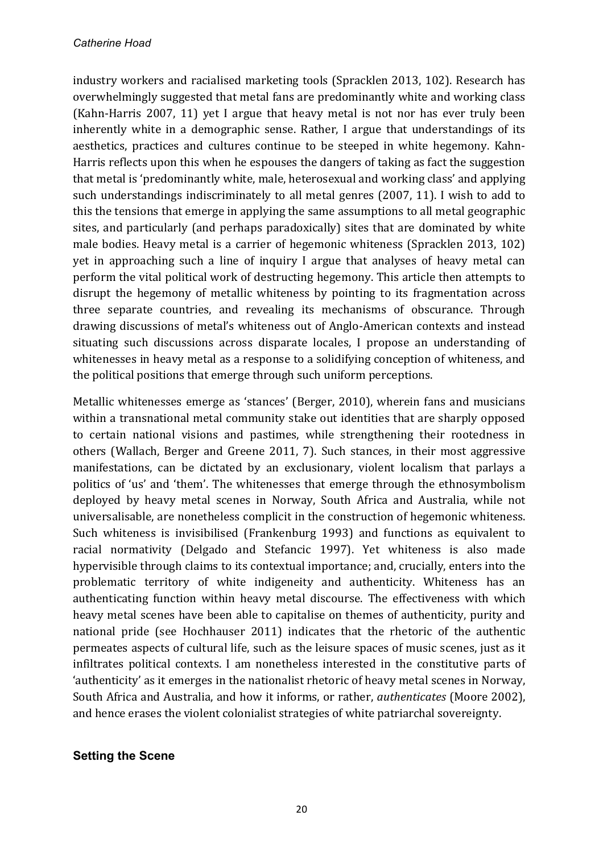industry workers and racialised marketing tools (Spracklen 2013, 102). Research has overwhelmingly suggested that metal fans are predominantly white and working class (Kahn-Harris 2007, 11) yet I argue that heavy metal is not nor has ever truly been inherently white in a demographic sense. Rather, I argue that understandings of its aesthetics, practices and cultures continue to be steeped in white hegemony. Kahn-Harris reflects upon this when he espouses the dangers of taking as fact the suggestion that metal is 'predominantly white, male, heterosexual and working class' and applying such understandings indiscriminately to all metal genres  $(2007, 11)$ . I wish to add to this the tensions that emerge in applying the same assumptions to all metal geographic sites, and particularly (and perhaps paradoxically) sites that are dominated by white male bodies. Heavy metal is a carrier of hegemonic whiteness (Spracklen 2013, 102) yet in approaching such a line of inquiry I argue that analyses of heavy metal can perform the vital political work of destructing hegemony. This article then attempts to disrupt the hegemony of metallic whiteness by pointing to its fragmentation across three separate countries, and revealing its mechanisms of obscurance. Through drawing discussions of metal's whiteness out of Anglo-American contexts and instead situating such discussions across disparate locales, I propose an understanding of whitenesses in heavy metal as a response to a solidifying conception of whiteness, and the political positions that emerge through such uniform perceptions.

Metallic whitenesses emerge as 'stances' (Berger, 2010), wherein fans and musicians within a transnational metal community stake out identities that are sharply opposed to certain national visions and pastimes, while strengthening their rootedness in others (Wallach, Berger and Greene 2011, 7). Such stances, in their most aggressive manifestations, can be dictated by an exclusionary, violent localism that parlays a politics of 'us' and 'them'. The whitenesses that emerge through the ethnosymbolism deployed by heavy metal scenes in Norway, South Africa and Australia, while not universalisable, are nonetheless complicit in the construction of hegemonic whiteness. Such whiteness is invisibilised (Frankenburg 1993) and functions as equivalent to racial normativity (Delgado and Stefancic 1997). Yet whiteness is also made hypervisible through claims to its contextual importance; and, crucially, enters into the problematic territory of white indigeneity and authenticity. Whiteness has an authenticating function within heavy metal discourse. The effectiveness with which heavy metal scenes have been able to capitalise on themes of authenticity, purity and national pride (see Hochhauser 2011) indicates that the rhetoric of the authentic permeates aspects of cultural life, such as the leisure spaces of music scenes, just as it infiltrates political contexts. I am nonetheless interested in the constitutive parts of 'authenticity' as it emerges in the nationalist rhetoric of heavy metal scenes in Norway, South Africa and Australia, and how it informs, or rather, *authenticates* (Moore 2002), and hence erases the violent colonialist strategies of white patriarchal sovereignty.

### **Setting the Scene**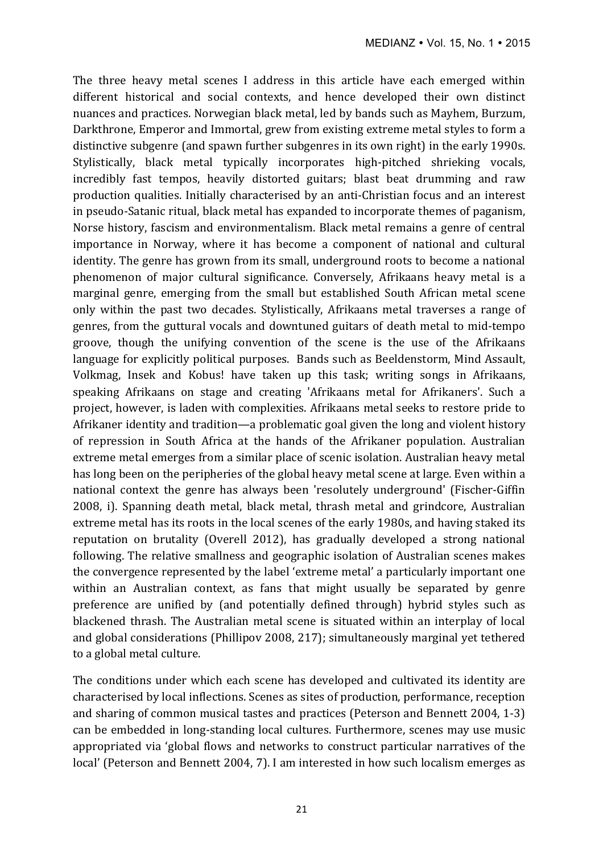The three heavy metal scenes I address in this article have each emerged within different historical and social contexts, and hence developed their own distinct nuances and practices. Norwegian black metal, led by bands such as Mayhem, Burzum, Darkthrone, Emperor and Immortal, grew from existing extreme metal styles to form a distinctive subgenre (and spawn further subgenres in its own right) in the early 1990s. Stylistically, black metal typically incorporates high-pitched shrieking vocals, incredibly fast tempos, heavily distorted guitars; blast beat drumming and raw production qualities. Initially characterised by an anti-Christian focus and an interest in pseudo-Satanic ritual, black metal has expanded to incorporate themes of paganism, Norse history, fascism and environmentalism. Black metal remains a genre of central importance in Norway, where it has become a component of national and cultural identity. The genre has grown from its small, underground roots to become a national phenomenon of major cultural significance. Conversely, Afrikaans heavy metal is a marginal genre, emerging from the small but established South African metal scene only within the past two decades. Stylistically, Afrikaans metal traverses a range of genres, from the guttural vocals and downtuned guitars of death metal to mid-tempo groove, though the unifying convention of the scene is the use of the Afrikaans language for explicitly political purposes. Bands such as Beeldenstorm, Mind Assault, Volkmag, Insek and Kobus! have taken up this task; writing songs in Afrikaans, speaking Afrikaans on stage and creating 'Afrikaans metal for Afrikaners'. Such a project, however, is laden with complexities. Afrikaans metal seeks to restore pride to Afrikaner identity and tradition—a problematic goal given the long and violent history of repression in South Africa at the hands of the Afrikaner population. Australian extreme metal emerges from a similar place of scenic isolation. Australian heavy metal has long been on the peripheries of the global heavy metal scene at large. Even within a national context the genre has always been 'resolutely underground' (Fischer-Giffin 2008, i). Spanning death metal, black metal, thrash metal and grindcore, Australian extreme metal has its roots in the local scenes of the early 1980s, and having staked its reputation on brutality (Overell 2012), has gradually developed a strong national following. The relative smallness and geographic isolation of Australian scenes makes the convergence represented by the label 'extreme metal' a particularly important one within an Australian context, as fans that might usually be separated by genre preference are unified by (and potentially defined through) hybrid styles such as blackened thrash. The Australian metal scene is situated within an interplay of local and global considerations (Phillipov 2008, 217); simultaneously marginal yet tethered to a global metal culture.

The conditions under which each scene has developed and cultivated its identity are characterised by local inflections. Scenes as sites of production, performance, reception and sharing of common musical tastes and practices (Peterson and Bennett 2004, 1-3) can be embedded in long-standing local cultures. Furthermore, scenes may use music appropriated via 'global flows and networks to construct particular narratives of the local' (Peterson and Bennett 2004, 7). I am interested in how such localism emerges as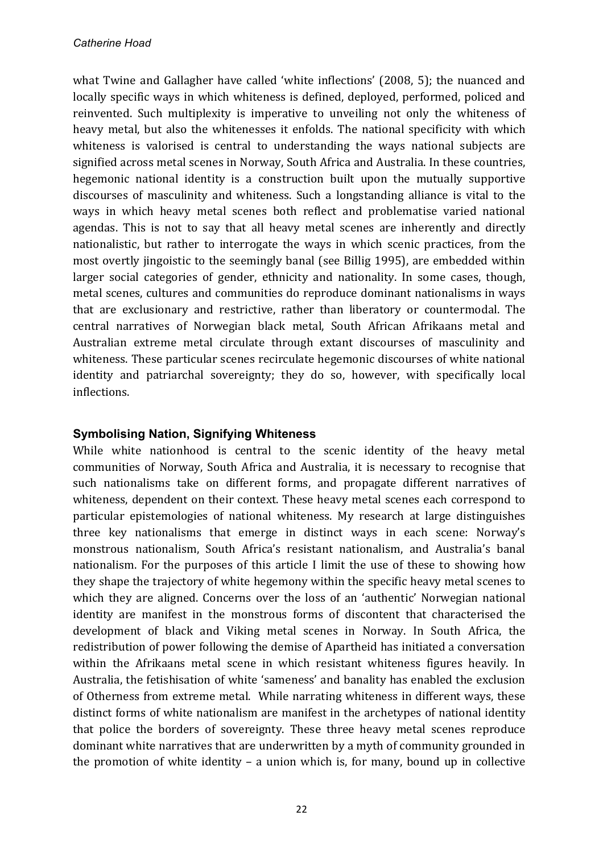what Twine and Gallagher have called 'white inflections' (2008, 5); the nuanced and locally specific ways in which whiteness is defined, deployed, performed, policed and reinvented. Such multiplexity is imperative to unveiling not only the whiteness of heavy metal, but also the whitenesses it enfolds. The national specificity with which whiteness is valorised is central to understanding the ways national subjects are signified across metal scenes in Norway, South Africa and Australia. In these countries, hegemonic national identity is a construction built upon the mutually supportive discourses of masculinity and whiteness. Such a longstanding alliance is vital to the ways in which heavy metal scenes both reflect and problematise varied national agendas. This is not to say that all heavy metal scenes are inherently and directly nationalistic, but rather to interrogate the ways in which scenic practices, from the most overtly jingoistic to the seemingly banal (see Billig 1995), are embedded within larger social categories of gender, ethnicity and nationality. In some cases, though, metal scenes, cultures and communities do reproduce dominant nationalisms in ways that are exclusionary and restrictive, rather than liberatory or countermodal. The central narratives of Norwegian black metal, South African Afrikaans metal and Australian extreme metal circulate through extant discourses of masculinity and whiteness. These particular scenes recirculate hegemonic discourses of white national identity and patriarchal sovereignty; they do so, however, with specifically local inflections.

### **Symbolising Nation, Signifying Whiteness**

While white nationhood is central to the scenic identity of the heavy metal communities of Norway, South Africa and Australia, it is necessary to recognise that such nationalisms take on different forms, and propagate different narratives of whiteness, dependent on their context. These heavy metal scenes each correspond to particular epistemologies of national whiteness. My research at large distinguishes three key nationalisms that emerge in distinct ways in each scene: Norway's monstrous nationalism, South Africa's resistant nationalism, and Australia's banal nationalism. For the purposes of this article I limit the use of these to showing how they shape the trajectory of white hegemony within the specific heavy metal scenes to which they are aligned. Concerns over the loss of an 'authentic' Norwegian national identity are manifest in the monstrous forms of discontent that characterised the development of black and Viking metal scenes in Norway. In South Africa, the redistribution of power following the demise of Apartheid has initiated a conversation within the Afrikaans metal scene in which resistant whiteness figures heavily. In Australia, the fetishisation of white 'sameness' and banality has enabled the exclusion of Otherness from extreme metal. While narrating whiteness in different ways, these distinct forms of white nationalism are manifest in the archetypes of national identity that police the borders of sovereignty. These three heavy metal scenes reproduce dominant white narratives that are underwritten by a myth of community grounded in the promotion of white identity – a union which is, for many, bound up in collective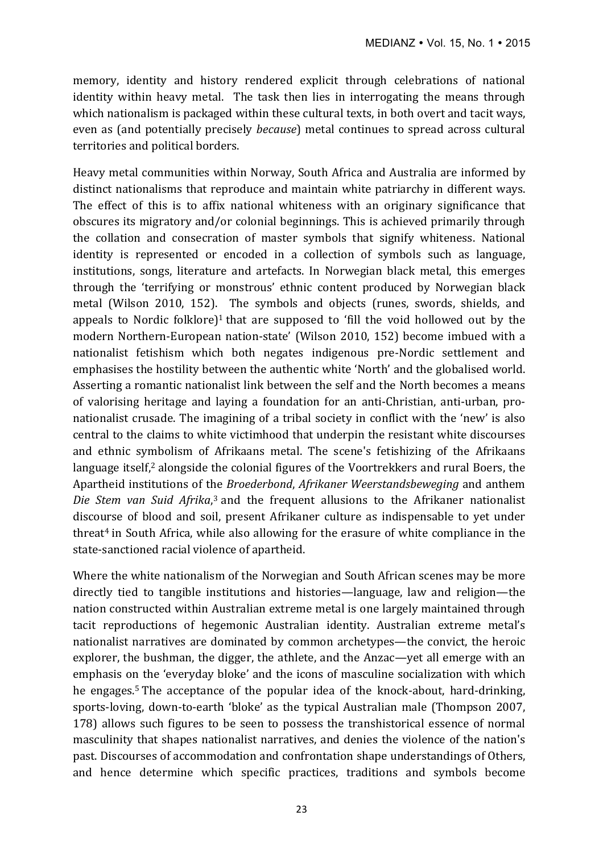memory, identity and history rendered explicit through celebrations of national identity within heavy metal. The task then lies in interrogating the means through which nationalism is packaged within these cultural texts, in both overt and tacit ways, even as (and potentially precisely *because*) metal continues to spread across cultural territories and political borders.

Heavy metal communities within Norway, South Africa and Australia are informed by distinct nationalisms that reproduce and maintain white patriarchy in different ways. The effect of this is to affix national whiteness with an originary significance that obscures its migratory and/or colonial beginnings. This is achieved primarily through the collation and consecration of master symbols that signify whiteness. National identity is represented or encoded in a collection of symbols such as language, institutions, songs, literature and artefacts. In Norwegian black metal, this emerges through the 'terrifying or monstrous' ethnic content produced by Norwegian black metal (Wilson 2010, 152). The symbols and objects (runes, swords, shields, and appeals to Nordic folklore)<sup>1</sup> that are supposed to 'fill the void hollowed out by the modern Northern-European nation-state' (Wilson 2010, 152) become imbued with a nationalist fetishism which both negates indigenous pre-Nordic settlement and emphasises the hostility between the authentic white 'North' and the globalised world. Asserting a romantic nationalist link between the self and the North becomes a means of valorising heritage and laying a foundation for an anti-Christian, anti-urban, pronationalist crusade. The imagining of a tribal society in conflict with the 'new' is also central to the claims to white victimhood that underpin the resistant white discourses and ethnic symbolism of Afrikaans metal. The scene's fetishizing of the Afrikaans language itself,<sup>2</sup> alongside the colonial figures of the Voortrekkers and rural Boers, the Apartheid institutions of the *Broederbond*, *Afrikaner Weerstandsbeweging* and anthem Die Stem van Suid Afrika,<sup>3</sup> and the frequent allusions to the Afrikaner nationalist discourse of blood and soil, present Afrikaner culture as indispensable to vet under threat<sup>4</sup> in South Africa, while also allowing for the erasure of white compliance in the state-sanctioned racial violence of apartheid.

Where the white nationalism of the Norwegian and South African scenes may be more directly tied to tangible institutions and histories—language, law and religion—the nation constructed within Australian extreme metal is one largely maintained through tacit reproductions of hegemonic Australian identity. Australian extreme metal's nationalist narratives are dominated by common archetypes—the convict, the heroic explorer, the bushman, the digger, the athlete, and the Anzac—yet all emerge with an emphasis on the 'everyday bloke' and the icons of masculine socialization with which he engages.<sup>5</sup> The acceptance of the popular idea of the knock-about, hard-drinking, sports-loving, down-to-earth 'bloke' as the typical Australian male (Thompson 2007, 178) allows such figures to be seen to possess the transhistorical essence of normal masculinity that shapes nationalist narratives, and denies the violence of the nation's past. Discourses of accommodation and confrontation shape understandings of Others, and hence determine which specific practices, traditions and symbols become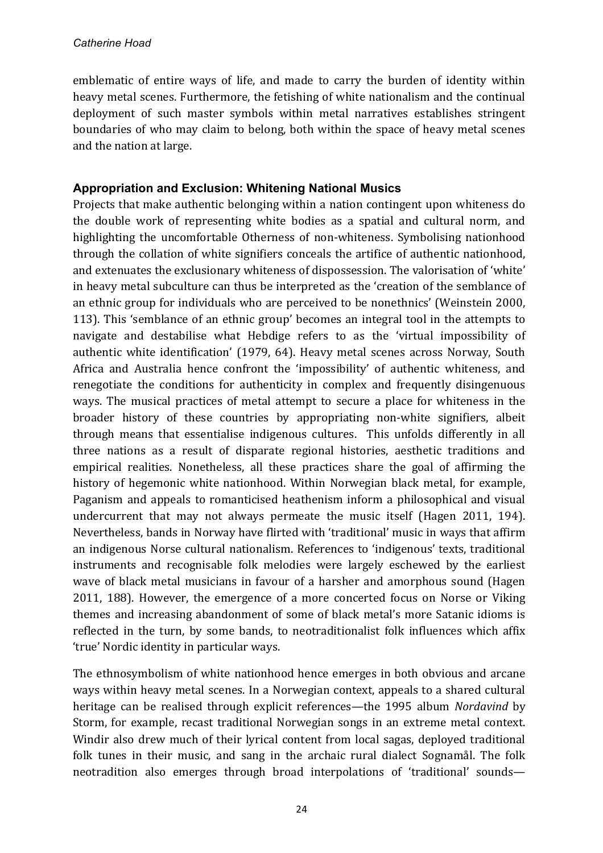emblematic of entire ways of life, and made to carry the burden of identity within heavy metal scenes. Furthermore, the fetishing of white nationalism and the continual deployment of such master symbols within metal narratives establishes stringent boundaries of who may claim to belong, both within the space of heavy metal scenes and the nation at large.

## **Appropriation and Exclusion: Whitening National Musics**

Projects that make authentic belonging within a nation contingent upon whiteness do the double work of representing white bodies as a spatial and cultural norm, and highlighting the uncomfortable Otherness of non-whiteness. Symbolising nationhood through the collation of white signifiers conceals the artifice of authentic nationhood, and extenuates the exclusionary whiteness of dispossession. The valorisation of 'white' in heavy metal subculture can thus be interpreted as the 'creation of the semblance of an ethnic group for individuals who are perceived to be nonethnics' (Weinstein 2000, 113). This 'semblance of an ethnic group' becomes an integral tool in the attempts to navigate and destabilise what Hebdige refers to as the 'virtual impossibility of authentic white identification' (1979, 64). Heavy metal scenes across Norway, South Africa and Australia hence confront the 'impossibility' of authentic whiteness, and renegotiate the conditions for authenticity in complex and frequently disingenuous ways. The musical practices of metal attempt to secure a place for whiteness in the broader history of these countries by appropriating non-white signifiers, albeit through means that essentialise indigenous cultures. This unfolds differently in all three nations as a result of disparate regional histories, aesthetic traditions and empirical realities. Nonetheless, all these practices share the goal of affirming the history of hegemonic white nationhood. Within Norwegian black metal, for example, Paganism and appeals to romanticised heathenism inform a philosophical and visual undercurrent that may not always permeate the music itself (Hagen 2011, 194). Nevertheless, bands in Norway have flirted with 'traditional' music in ways that affirm an indigenous Norse cultural nationalism. References to 'indigenous' texts, traditional instruments and recognisable folk melodies were largely eschewed by the earliest wave of black metal musicians in favour of a harsher and amorphous sound (Hagen 2011, 188). However, the emergence of a more concerted focus on Norse or Viking themes and increasing abandonment of some of black metal's more Satanic idioms is reflected in the turn, by some bands, to neotraditionalist folk influences which affix 'true' Nordic identity in particular ways.

The ethnosymbolism of white nationhood hence emerges in both obvious and arcane ways within heavy metal scenes. In a Norwegian context, appeals to a shared cultural heritage can be realised through explicit references—the 1995 album *Nordavind* by Storm, for example, recast traditional Norwegian songs in an extreme metal context. Windir also drew much of their lyrical content from local sagas, deployed traditional folk tunes in their music, and sang in the archaic rural dialect Sognamål. The folk neotradition also emerges through broad interpolations of 'traditional' sounds—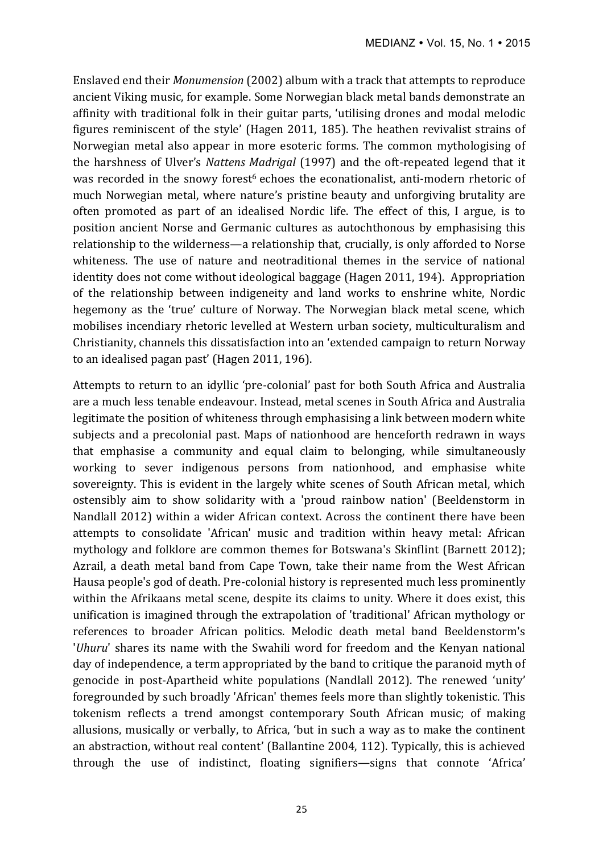Enslaved end their *Monumension* (2002) album with a track that attempts to reproduce ancient Viking music, for example. Some Norwegian black metal bands demonstrate an affinity with traditional folk in their guitar parts, 'utilising drones and modal melodic figures reminiscent of the style' (Hagen 2011, 185). The heathen revivalist strains of Norwegian metal also appear in more esoteric forms. The common mythologising of the harshness of Ulver's *Nattens Madrigal* (1997) and the oft-repeated legend that it was recorded in the snowy forest<sup>6</sup> echoes the econationalist, anti-modern rhetoric of much Norwegian metal, where nature's pristine beauty and unforgiving brutality are often promoted as part of an idealised Nordic life. The effect of this, I argue, is to position ancient Norse and Germanic cultures as autochthonous by emphasising this relationship to the wilderness—a relationship that, crucially, is only afforded to Norse whiteness. The use of nature and neotraditional themes in the service of national identity does not come without ideological baggage (Hagen 2011, 194). Appropriation of the relationship between indigeneity and land works to enshrine white, Nordic hegemony as the 'true' culture of Norway. The Norwegian black metal scene, which mobilises incendiary rhetoric levelled at Western urban society, multiculturalism and Christianity, channels this dissatisfaction into an 'extended campaign to return Norway to an idealised pagan past' (Hagen 2011, 196).

Attempts to return to an idyllic 'pre-colonial' past for both South Africa and Australia are a much less tenable endeavour. Instead, metal scenes in South Africa and Australia legitimate the position of whiteness through emphasising a link between modern white subjects and a precolonial past. Maps of nationhood are henceforth redrawn in ways that emphasise a community and equal claim to belonging, while simultaneously working to sever indigenous persons from nationhood, and emphasise white sovereignty. This is evident in the largely white scenes of South African metal, which ostensibly aim to show solidarity with a 'proud rainbow nation' (Beeldenstorm in Nandlall 2012) within a wider African context. Across the continent there have been attempts to consolidate 'African' music and tradition within heavy metal: African mythology and folklore are common themes for Botswana's Skinflint (Barnett 2012); Azrail, a death metal band from Cape Town, take their name from the West African Hausa people's god of death. Pre-colonial history is represented much less prominently within the Afrikaans metal scene, despite its claims to unity. Where it does exist, this unification is imagined through the extrapolation of 'traditional' African mythology or references to broader African politics. Melodic death metal band Beeldenstorm's '*Uhuru*' shares its name with the Swahili word for freedom and the Kenyan national day of independence, a term appropriated by the band to critique the paranoid myth of genocide in post-Apartheid white populations (Nandlall 2012). The renewed 'unity' foregrounded by such broadly 'African' themes feels more than slightly tokenistic. This tokenism reflects a trend amongst contemporary South African music; of making allusions, musically or verbally, to Africa, 'but in such a way as to make the continent an abstraction, without real content' (Ballantine 2004, 112). Typically, this is achieved through the use of indistinct, floating signifiers—signs that connote 'Africa'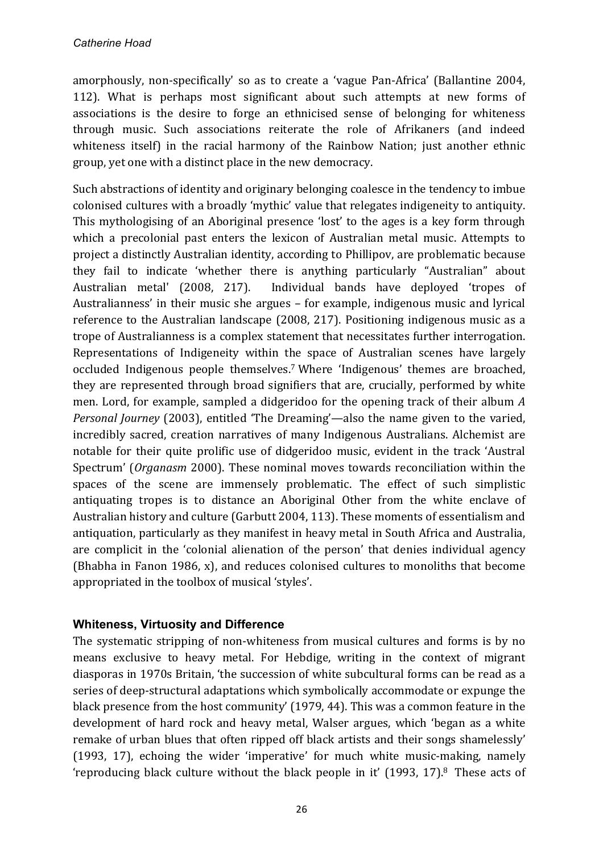amorphously, non-specifically' so as to create a 'vague Pan-Africa' (Ballantine 2004, 112). What is perhaps most significant about such attempts at new forms of associations is the desire to forge an ethnicised sense of belonging for whiteness through music. Such associations reiterate the role of Afrikaners (and indeed whiteness itself) in the racial harmony of the Rainbow Nation; just another ethnic group, yet one with a distinct place in the new democracy.

Such abstractions of identity and originary belonging coalesce in the tendency to imbue colonised cultures with a broadly 'mythic' value that relegates indigeneity to antiquity. This mythologising of an Aboriginal presence 'lost' to the ages is a key form through which a precolonial past enters the lexicon of Australian metal music. Attempts to project a distinctly Australian identity, according to Phillipov, are problematic because they fail to indicate 'whether there is anything particularly "Australian" about Australian metal' (2008, 217). Individual bands have deployed 'tropes of Australianness' in their music she argues – for example, indigenous music and lyrical reference to the Australian landscape (2008, 217). Positioning indigenous music as a trope of Australianness is a complex statement that necessitates further interrogation. Representations of Indigeneity within the space of Australian scenes have largely occluded Indigenous people themselves.<sup>7</sup> Where 'Indigenous' themes are broached, they are represented through broad signifiers that are, crucially, performed by white men. Lord, for example, sampled a didgeridoo for the opening track of their album A *Personal Journey* (2003), entitled 'The Dreaming'—also the name given to the varied, incredibly sacred, creation narratives of many Indigenous Australians. Alchemist are notable for their quite prolific use of didgeridoo music, evident in the track 'Austral Spectrum' (*Organasm* 2000). These nominal moves towards reconciliation within the spaces of the scene are immensely problematic. The effect of such simplistic antiquating tropes is to distance an Aboriginal Other from the white enclave of Australian history and culture (Garbutt 2004, 113). These moments of essentialism and antiquation, particularly as they manifest in heavy metal in South Africa and Australia, are complicit in the 'colonial alienation of the person' that denies individual agency (Bhabha in Fanon 1986, x), and reduces colonised cultures to monoliths that become appropriated in the toolbox of musical 'styles'.

### **Whiteness, Virtuosity and Difference**

The systematic stripping of non-whiteness from musical cultures and forms is by no means exclusive to heavy metal. For Hebdige, writing in the context of migrant diasporas in 1970s Britain, 'the succession of white subcultural forms can be read as a series of deep-structural adaptations which symbolically accommodate or expunge the black presence from the host community' (1979, 44). This was a common feature in the development of hard rock and heavy metal, Walser argues, which 'began as a white remake of urban blues that often ripped off black artists and their songs shamelessly' (1993, 17), echoing the wider 'imperative' for much white music-making, namely 'reproducing black culture without the black people in it' (1993, 17).<sup>8</sup> These acts of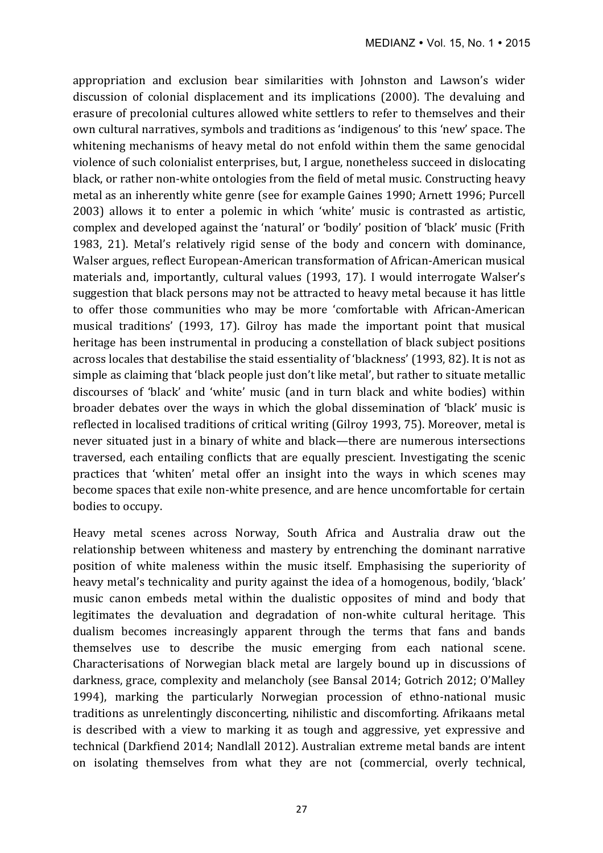appropriation and exclusion bear similarities with Johnston and Lawson's wider discussion of colonial displacement and its implications (2000). The devaluing and erasure of precolonial cultures allowed white settlers to refer to themselves and their own cultural narratives, symbols and traditions as 'indigenous' to this 'new' space. The whitening mechanisms of heavy metal do not enfold within them the same genocidal violence of such colonialist enterprises, but, I argue, nonetheless succeed in dislocating black, or rather non-white ontologies from the field of metal music. Constructing heavy metal as an inherently white genre (see for example Gaines 1990; Arnett 1996; Purcell 2003) allows it to enter a polemic in which 'white' music is contrasted as artistic, complex and developed against the 'natural' or 'bodily' position of 'black' music (Frith 1983, 21). Metal's relatively rigid sense of the body and concern with dominance, Walser argues, reflect European-American transformation of African-American musical materials and, importantly, cultural values (1993, 17). I would interrogate Walser's suggestion that black persons may not be attracted to heavy metal because it has little to offer those communities who may be more 'comfortable with African-American musical traditions' (1993, 17). Gilroy has made the important point that musical heritage has been instrumental in producing a constellation of black subject positions across locales that destabilise the staid essentiality of 'blackness' (1993, 82). It is not as simple as claiming that 'black people just don't like metal', but rather to situate metallic discourses of 'black' and 'white' music (and in turn black and white bodies) within broader debates over the ways in which the global dissemination of 'black' music is reflected in localised traditions of critical writing (Gilroy 1993, 75). Moreover, metal is never situated just in a binary of white and black—there are numerous intersections traversed, each entailing conflicts that are equally prescient. Investigating the scenic practices that 'whiten' metal offer an insight into the ways in which scenes may become spaces that exile non-white presence, and are hence uncomfortable for certain bodies to occupy.

Heavy metal scenes across Norway, South Africa and Australia draw out the relationship between whiteness and mastery by entrenching the dominant narrative position of white maleness within the music itself. Emphasising the superiority of heavy metal's technicality and purity against the idea of a homogenous, bodily, 'black' music canon embeds metal within the dualistic opposites of mind and body that legitimates the devaluation and degradation of non-white cultural heritage. This dualism becomes increasingly apparent through the terms that fans and bands themselves use to describe the music emerging from each national scene. Characterisations of Norwegian black metal are largely bound up in discussions of darkness, grace, complexity and melancholy (see Bansal 2014; Gotrich 2012; O'Malley 1994), marking the particularly Norwegian procession of ethno-national music traditions as unrelentingly disconcerting, nihilistic and discomforting. Afrikaans metal is described with a view to marking it as tough and aggressive, vet expressive and technical (Darkfiend 2014; Nandlall 2012). Australian extreme metal bands are intent on isolating themselves from what they are not (commercial, overly technical,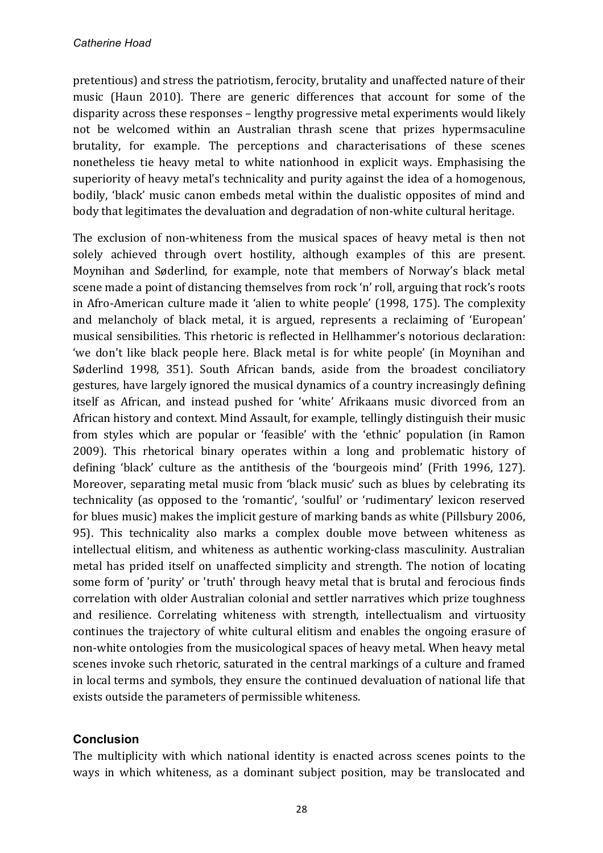pretentious) and stress the patriotism, ferocity, brutality and unaffected nature of their music (Haun 2010). There are generic differences that account for some of the disparity across these responses - lengthy progressive metal experiments would likely not be welcomed within an Australian thrash scene that prizes hypermsaculine brutality, for example. The perceptions and characterisations of these scenes nonetheless tie heavy metal to white nationhood in explicit ways. Emphasising the superiority of heavy metal's technicality and purity against the idea of a homogenous, bodily, 'black' music canon embeds metal within the dualistic opposites of mind and body that legitimates the devaluation and degradation of non-white cultural heritage.

The exclusion of non-whiteness from the musical spaces of heavy metal is then not solely achieved through overt hostility, although examples of this are present. Moynihan and Søderlind, for example, note that members of Norway's black metal scene made a point of distancing themselves from rock 'n' roll, arguing that rock's roots in Afro-American culture made it 'alien to white people' (1998, 175). The complexity and melancholy of black metal, it is argued, represents a reclaiming of 'European' musical sensibilities. This rhetoric is reflected in Hellhammer's notorious declaration: 'we don't like black people here. Black metal is for white people' (in Moynihan and Søderlind 1998, 351). South African bands, aside from the broadest conciliatory gestures, have largely ignored the musical dynamics of a country increasingly defining itself as African, and instead pushed for 'white' Afrikaans music divorced from an African history and context. Mind Assault, for example, tellingly distinguish their music from styles which are popular or 'feasible' with the 'ethnic' population (in Ramon 2009). This rhetorical binary operates within a long and problematic history of defining 'black' culture as the antithesis of the 'bourgeois mind' (Frith 1996, 127). Moreover, separating metal music from 'black music' such as blues by celebrating its technicality (as opposed to the 'romantic', 'soulful' or 'rudimentary' lexicon reserved for blues music) makes the implicit gesture of marking bands as white (Pillsbury 2006, 95). This technicality also marks a complex double move between whiteness as intellectual elitism, and whiteness as authentic working-class masculinity. Australian metal has prided itself on unaffected simplicity and strength. The notion of locating some form of 'purity' or 'truth' through heavy metal that is brutal and ferocious finds correlation with older Australian colonial and settler narratives which prize toughness and resilience. Correlating whiteness with strength, intellectualism and virtuosity continues the trajectory of white cultural elitism and enables the ongoing erasure of non-white ontologies from the musicological spaces of heavy metal. When heavy metal scenes invoke such rhetoric, saturated in the central markings of a culture and framed in local terms and symbols, they ensure the continued devaluation of national life that exists outside the parameters of permissible whiteness.

### **Conclusion**

The multiplicity with which national identity is enacted across scenes points to the ways in which whiteness, as a dominant subject position, may be translocated and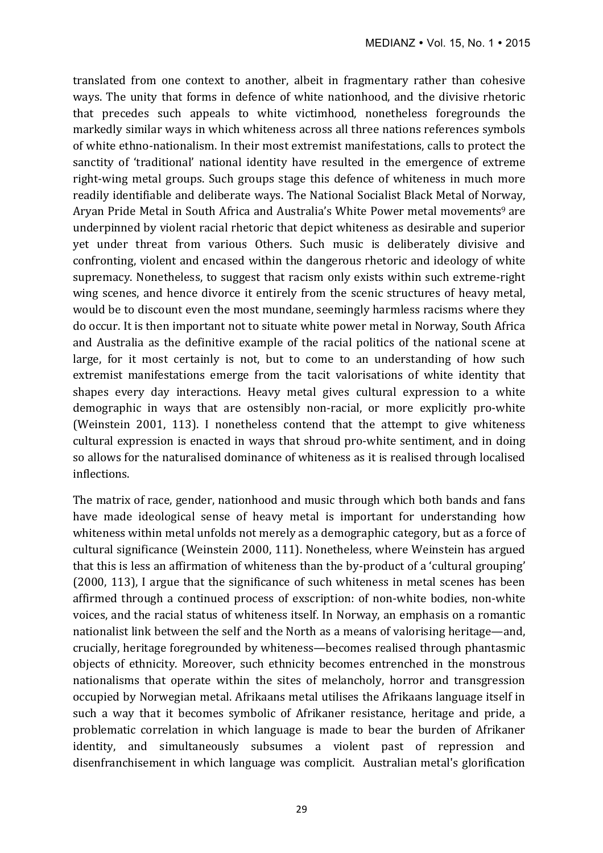translated from one context to another, albeit in fragmentary rather than cohesive ways. The unity that forms in defence of white nationhood, and the divisive rhetoric that precedes such appeals to white victimhood, nonetheless foregrounds the markedly similar ways in which whiteness across all three nations references symbols of white ethno-nationalism. In their most extremist manifestations, calls to protect the sanctity of 'traditional' national identity have resulted in the emergence of extreme right-wing metal groups. Such groups stage this defence of whiteness in much more readily identifiable and deliberate ways. The National Socialist Black Metal of Norway, Aryan Pride Metal in South Africa and Australia's White Power metal movements<sup>9</sup> are underpinned by violent racial rhetoric that depict whiteness as desirable and superior yet under threat from various Others. Such music is deliberately divisive and confronting, violent and encased within the dangerous rhetoric and ideology of white supremacy. Nonetheless, to suggest that racism only exists within such extreme-right wing scenes, and hence divorce it entirely from the scenic structures of heavy metal, would be to discount even the most mundane, seemingly harmless racisms where they do occur. It is then important not to situate white power metal in Norway, South Africa and Australia as the definitive example of the racial politics of the national scene at large, for it most certainly is not, but to come to an understanding of how such extremist manifestations emerge from the tacit valorisations of white identity that shapes every day interactions. Heavy metal gives cultural expression to a white demographic in ways that are ostensibly non-racial, or more explicitly pro-white (Weinstein 2001, 113). I nonetheless contend that the attempt to give whiteness cultural expression is enacted in ways that shroud pro-white sentiment, and in doing so allows for the naturalised dominance of whiteness as it is realised through localised inflections. 

The matrix of race, gender, nationhood and music through which both bands and fans have made ideological sense of heavy metal is important for understanding how whiteness within metal unfolds not merely as a demographic category, but as a force of cultural significance (Weinstein 2000, 111). Nonetheless, where Weinstein has argued that this is less an affirmation of whiteness than the by-product of a 'cultural grouping'  $(2000, 113)$ , I argue that the significance of such whiteness in metal scenes has been affirmed through a continued process of exscription: of non-white bodies, non-white voices, and the racial status of whiteness itself. In Norway, an emphasis on a romantic nationalist link between the self and the North as a means of valorising heritage—and, crucially, heritage foregrounded by whiteness—becomes realised through phantasmic objects of ethnicity. Moreover, such ethnicity becomes entrenched in the monstrous nationalisms that operate within the sites of melancholy, horror and transgression occupied by Norwegian metal. Afrikaans metal utilises the Afrikaans language itself in such a way that it becomes symbolic of Afrikaner resistance, heritage and pride, a problematic correlation in which language is made to bear the burden of Afrikaner identity, and simultaneously subsumes a violent past of repression and disenfranchisement in which language was complicit. Australian metal's glorification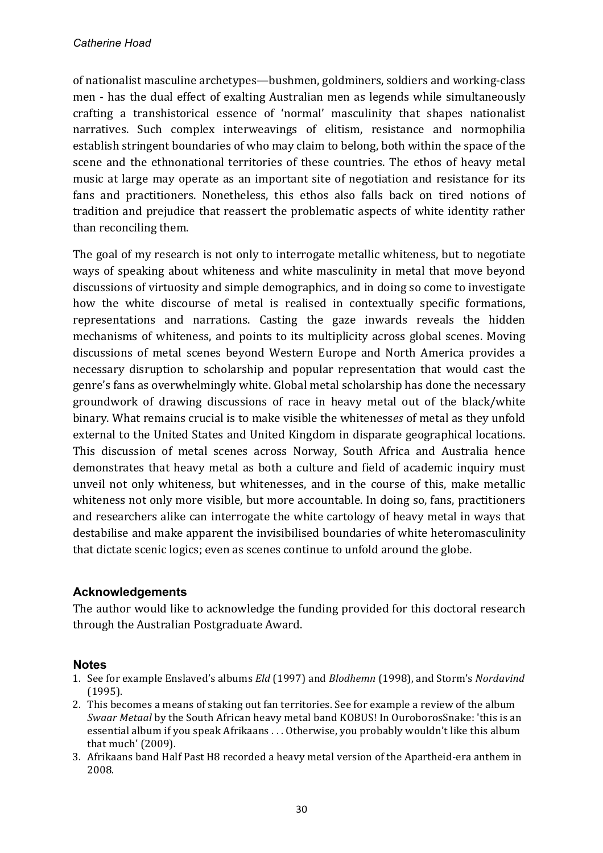of nationalist masculine archetypes—bushmen, goldminers, soldiers and working-class men - has the dual effect of exalting Australian men as legends while simultaneously crafting a transhistorical essence of 'normal' masculinity that shapes nationalist narratives. Such complex interweavings of elitism, resistance and normophilia establish stringent boundaries of who may claim to belong, both within the space of the scene and the ethnonational territories of these countries. The ethos of heavy metal music at large may operate as an important site of negotiation and resistance for its fans and practitioners. Nonetheless, this ethos also falls back on tired notions of tradition and prejudice that reassert the problematic aspects of white identity rather than reconciling them.

The goal of my research is not only to interrogate metallic whiteness, but to negotiate ways of speaking about whiteness and white masculinity in metal that move beyond discussions of virtuosity and simple demographics, and in doing so come to investigate how the white discourse of metal is realised in contextually specific formations, representations and narrations. Casting the gaze inwards reveals the hidden mechanisms of whiteness, and points to its multiplicity across global scenes. Moving discussions of metal scenes beyond Western Europe and North America provides a necessary disruption to scholarship and popular representation that would cast the genre's fans as overwhelmingly white. Global metal scholarship has done the necessary groundwork of drawing discussions of race in heavy metal out of the black/white binary. What remains crucial is to make visible the whitenesses of metal as they unfold external to the United States and United Kingdom in disparate geographical locations. This discussion of metal scenes across Norway, South Africa and Australia hence demonstrates that heavy metal as both a culture and field of academic inquiry must unveil not only whiteness, but whitenesses, and in the course of this, make metallic whiteness not only more visible, but more accountable. In doing so, fans, practitioners and researchers alike can interrogate the white cartology of heavy metal in ways that destabilise and make apparent the invisibilised boundaries of white heteromasculinity that dictate scenic logics; even as scenes continue to unfold around the globe.

### **Acknowledgements**

The author would like to acknowledge the funding provided for this doctoral research through the Australian Postgraduate Award.

### **Notes**

- 1. See for example Enslaved's albums *Eld* (1997) and *Blodhemn* (1998), and Storm's *Nordavind* (1995).
- 2. This becomes a means of staking out fan territories. See for example a review of the album *Swaar Metaal* by the South African heavy metal band KOBUS! In OuroborosSnake: 'this is an essential album if you speak Afrikaans ... Otherwise, you probably wouldn't like this album that  $much'$  (2009).
- 3. Afrikaans band Half Past H8 recorded a heavy metal version of the Apartheid-era anthem in 2008.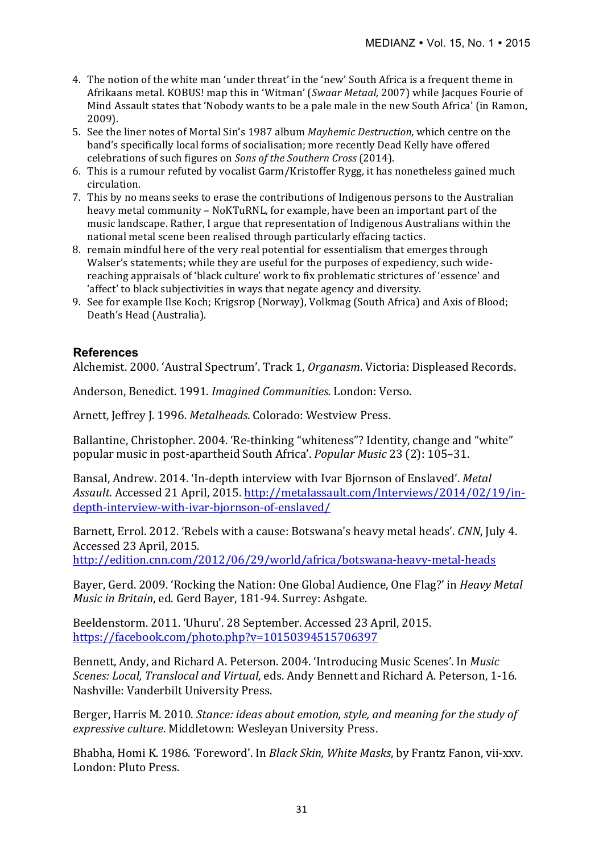- 4. The notion of the white man 'under threat' in the 'new' South Africa is a frequent theme in Afrikaans metal. KOBUS! map this in 'Witman' (*Swaar Metaal*, 2007) while Jacques Fourie of Mind Assault states that 'Nobody wants to be a pale male in the new South Africa' (in Ramon, 2009).
- 5. See the liner notes of Mortal Sin's 1987 album *Mayhemic Destruction*, which centre on the band's specifically local forms of socialisation; more recently Dead Kelly have offered celebrations of such figures on *Sons of the Southern Cross* (2014).
- 6. This is a rumour refuted by vocalist Garm/Kristoffer Rygg, it has nonetheless gained much circulation.
- 7. This by no means seeks to erase the contributions of Indigenous persons to the Australian heavy metal community – NoKTuRNL, for example, have been an important part of the music landscape. Rather, I argue that representation of Indigenous Australians within the national metal scene been realised through particularly effacing tactics.
- 8. remain mindful here of the very real potential for essentialism that emerges through Walser's statements; while they are useful for the purposes of expediency, such widereaching appraisals of 'black culture' work to fix problematic strictures of 'essence' and 'affect' to black subjectivities in ways that negate agency and diversity.
- 9. See for example Ilse Koch; Krigsrop (Norway), Volkmag (South Africa) and Axis of Blood; Death's Head (Australia).

#### **References**

Alchemist. 2000. 'Austral Spectrum'. Track 1, *Organasm*. Victoria: Displeased Records.

Anderson, Benedict. 1991. *Imagined Communities.* London: Verso.

Arnett, Jeffrey J. 1996. *Metalheads*. Colorado: Westview Press.

Ballantine, Christopher, 2004. 'Re-thinking "whiteness"? Identity, change and "white" popular music in post-apartheid South Africa'. *Popular Music* 23 (2): 105–31.

Bansal, Andrew. 2014. 'In-depth interview with Ivar Bjornson of Enslaved'. Metal *Assault*. Accessed 21 April, 2015. http://metalassault.com/Interviews/2014/02/19/indepth-interview-with-ivar-bjornson-of-enslaved/

Barnett, Errol. 2012. 'Rebels with a cause: Botswana's heavy metal heads'. *CNN*, July 4. Accessed 23 April, 2015.

http://edition.cnn.com/2012/06/29/world/africa/botswana-heavy-metal-heads

Bayer, Gerd. 2009. 'Rocking the Nation: One Global Audience, One Flag?' in *Heavy Metal Music in Britain, ed. Gerd Bayer, 181-94. Surrey: Ashgate.* 

Beeldenstorm. 2011. 'Uhuru'. 28 September. Accessed 23 April, 2015. https://facebook.com/photo.php?v=10150394515706397

Bennett, Andy, and Richard A. Peterson. 2004. 'Introducing Music Scenes'. In *Music Scenes: Local, Translocal and Virtual, eds. Andy Bennett and Richard A. Peterson, 1-16.* Nashville: Vanderbilt University Press.

Berger, Harris M. 2010. *Stance: ideas about emotion, style, and meaning for the study of expressive culture*. Middletown: Wesleyan University Press.

Bhabha, Homi K. 1986. 'Foreword'. In *Black Skin, White Masks*, by Frantz Fanon, vii-xxv. London: Pluto Press.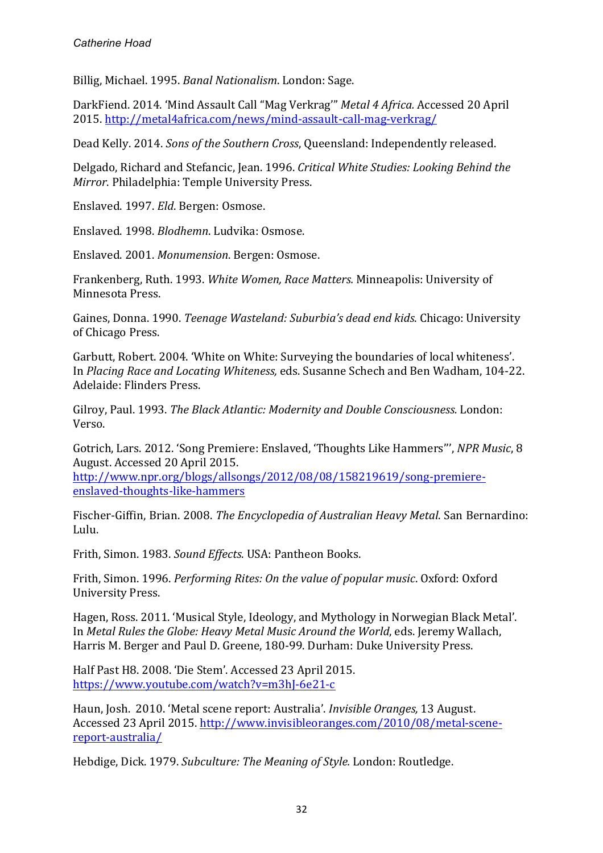Billig, Michael. 1995. *Banal Nationalism*. London: Sage.

DarkFiend. 2014. 'Mind Assault Call "Mag Verkrag" Metal 4 Africa. Accessed 20 April 2015. http://metal4africa.com/news/mind-assault-call-mag-verkrag/

Dead Kelly. 2014. *Sons of the Southern Cross*, Queensland: Independently released.

Delgado, Richard and Stefancic, Jean. 1996. Critical White Studies: Looking Behind the *Mirror*. Philadelphia: Temple University Press.

Enslaved. 1997. *Eld*. Bergen: Osmose.

Enslaved. 1998. *Blodhemn*. Ludvika: Osmose.

Enslaved. 2001. *Monumension*. Bergen: Osmose.

Frankenberg, Ruth. 1993. *White Women, Race Matters.* Minneapolis: University of Minnesota Press.

Gaines, Donna. 1990. *Teenage Wasteland: Suburbia's dead end kids*. Chicago: University of Chicago Press.

Garbutt, Robert. 2004. 'White on White: Surveying the boundaries of local whiteness'. In *Placing Race and Locating Whiteness,* eds. Susanne Schech and Ben Wadham, 104-22. Adelaide: Flinders Press.

Gilroy, Paul. 1993. *The Black Atlantic: Modernity and Double Consciousness.* London: Verso.

Gotrich, Lars. 2012. 'Song Premiere: Enslaved, 'Thoughts Like Hammers'", NPR Music, 8 August. Accessed 20 April 2015. 

http://www.npr.org/blogs/allsongs/2012/08/08/158219619/song-premiereenslaved-thoughts-like-hammers

Fischer-Giffin, Brian. 2008. *The Encyclopedia of Australian Heavy Metal*. San Bernardino: Lulu.

Frith, Simon. 1983. *Sound Effects*. USA: Pantheon Books.

Frith, Simon. 1996. *Performing Rites: On the value of popular music*. Oxford: Oxford University Press.

Hagen, Ross. 2011. 'Musical Style, Ideology, and Mythology in Norwegian Black Metal'. In *Metal Rules the Globe: Heavy Metal Music Around the World*, eds. Jeremy Wallach, Harris M. Berger and Paul D. Greene, 180-99. Durham: Duke University Press.

Half Past H8. 2008. 'Die Stem'. Accessed 23 April 2015. https://www.youtube.com/watch?v=m3hJ-6e21-c

Haun, Josh. 2010. 'Metal scene report: Australia'. *Invisible Oranges*, 13 August. Accessed 23 April 2015. http://www.invisibleoranges.com/2010/08/metal-scenereport-australia/

Hebdige, Dick. 1979. *Subculture: The Meaning of Style.* London: Routledge.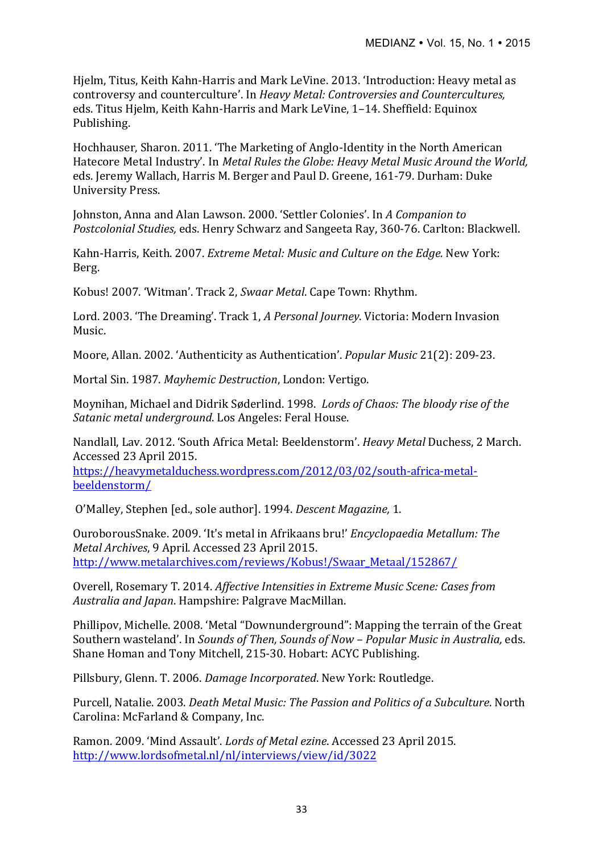Hjelm, Titus, Keith Kahn-Harris and Mark LeVine. 2013. 'Introduction: Heavy metal as controversy and counterculture'. In *Heavy Metal: Controversies and Countercultures*, eds. Titus Hjelm, Keith Kahn-Harris and Mark LeVine, 1-14. Sheffield: Equinox Publishing.

Hochhauser, Sharon. 2011. 'The Marketing of Anglo-Identity in the North American Hatecore Metal Industry'. In *Metal Rules the Globe: Heavy Metal Music Around the World,* eds. Jeremy Wallach, Harris M. Berger and Paul D. Greene, 161-79. Durham: Duke University Press.

Johnston, Anna and Alan Lawson. 2000. 'Settler Colonies'. In *A Companion to Postcolonial Studies, eds. Henry Schwarz and Sangeeta Ray, 360-76. Carlton: Blackwell.* 

Kahn-Harris, Keith. 2007. *Extreme Metal: Music and Culture on the Edge.* New York: Berg.

Kobus! 2007. 'Witman'. Track 2, Swaar Metal. Cape Town: Rhythm.

Lord. 2003. 'The Dreaming'. Track 1, *A Personal Journey*. Victoria: Modern Invasion Music.

Moore, Allan. 2002. 'Authenticity as Authentication'. *Popular Music* 21(2): 209-23.

Mortal Sin. 1987. Mayhemic Destruction, London: Vertigo.

Moynihan, Michael and Didrik Søderlind. 1998. *Lords of Chaos: The bloody rise of the Satanic metal underground.* Los Angeles: Feral House.

Nandlall, Lav. 2012. 'South Africa Metal: Beeldenstorm'. *Heavy Metal Duchess*, 2 March. Accessed 23 April 2015. 

https://heavymetalduchess.wordpress.com/2012/03/02/south-africa-metalbeeldenstorm/

O'Malley, Stephen [ed., sole author]. 1994. *Descent Magazine*, 1.

OuroborousSnake. 2009. 'It's metal in Afrikaans bru!' *Encyclopaedia Metallum: The Metal Archives*, 9 April. Accessed 23 April 2015. http://www.metalarchives.com/reviews/Kobus!/Swaar\_Metaal/152867/

Overell, Rosemary T. 2014. *Affective Intensities in Extreme Music Scene: Cases from* Australia and Japan. Hampshire: Palgrave MacMillan.

Phillipov, Michelle. 2008. 'Metal "Downunderground": Mapping the terrain of the Great Southern wasteland'. In *Sounds of Then. Sounds of Now – Popular Music in Australia, eds.* Shane Homan and Tony Mitchell, 215-30. Hobart: ACYC Publishing.

Pillsbury, Glenn. T. 2006. *Damage Incorporated*. New York: Routledge.

Purcell, Natalie. 2003. *Death Metal Music: The Passion and Politics of a Subculture*. North Carolina: McFarland & Company, Inc.

Ramon. 2009. 'Mind Assault'. *Lords of Metal ezine*. Accessed 23 April 2015. http://www.lordsofmetal.nl/nl/interviews/view/id/3022